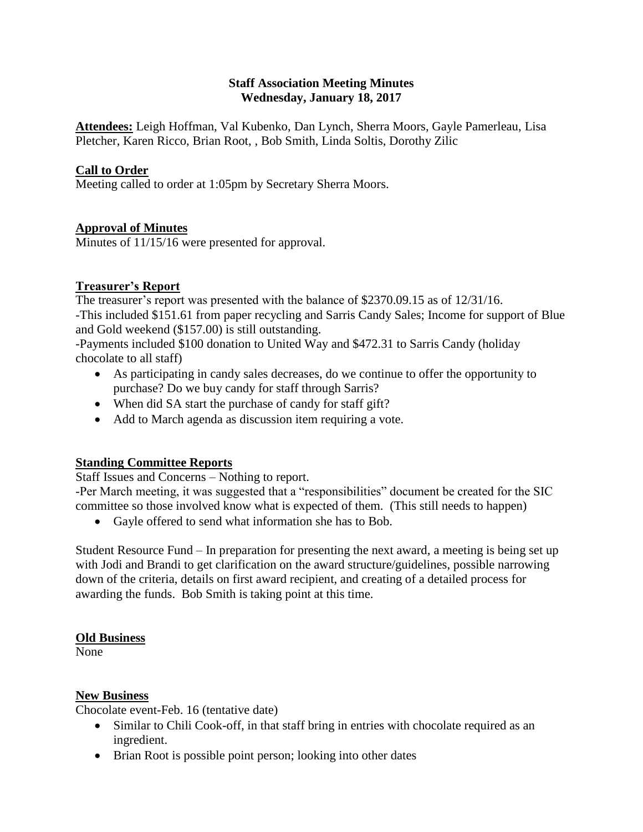# **Staff Association Meeting Minutes Wednesday, January 18, 2017**

**Attendees:** Leigh Hoffman, Val Kubenko, Dan Lynch, Sherra Moors, Gayle Pamerleau, Lisa Pletcher, Karen Ricco, Brian Root, , Bob Smith, Linda Soltis, Dorothy Zilic

# **Call to Order**

Meeting called to order at 1:05pm by Secretary Sherra Moors.

## **Approval of Minutes**

Minutes of 11/15/16 were presented for approval.

## **Treasurer's Report**

The treasurer's report was presented with the balance of \$2370.09.15 as of 12/31/16. -This included \$151.61 from paper recycling and Sarris Candy Sales; Income for support of Blue and Gold weekend (\$157.00) is still outstanding.

-Payments included \$100 donation to United Way and \$472.31 to Sarris Candy (holiday chocolate to all staff)

- As participating in candy sales decreases, do we continue to offer the opportunity to purchase? Do we buy candy for staff through Sarris?
- When did SA start the purchase of candy for staff gift?
- Add to March agenda as discussion item requiring a vote.

# **Standing Committee Reports**

Staff Issues and Concerns – Nothing to report.

-Per March meeting, it was suggested that a "responsibilities" document be created for the SIC committee so those involved know what is expected of them. (This still needs to happen)

Gayle offered to send what information she has to Bob.

Student Resource Fund – In preparation for presenting the next award, a meeting is being set up with Jodi and Brandi to get clarification on the award structure/guidelines, possible narrowing down of the criteria, details on first award recipient, and creating of a detailed process for awarding the funds. Bob Smith is taking point at this time.

#### **Old Business**

None

## **New Business**

Chocolate event-Feb. 16 (tentative date)

- Similar to Chili Cook-off, in that staff bring in entries with chocolate required as an ingredient.
- Brian Root is possible point person; looking into other dates